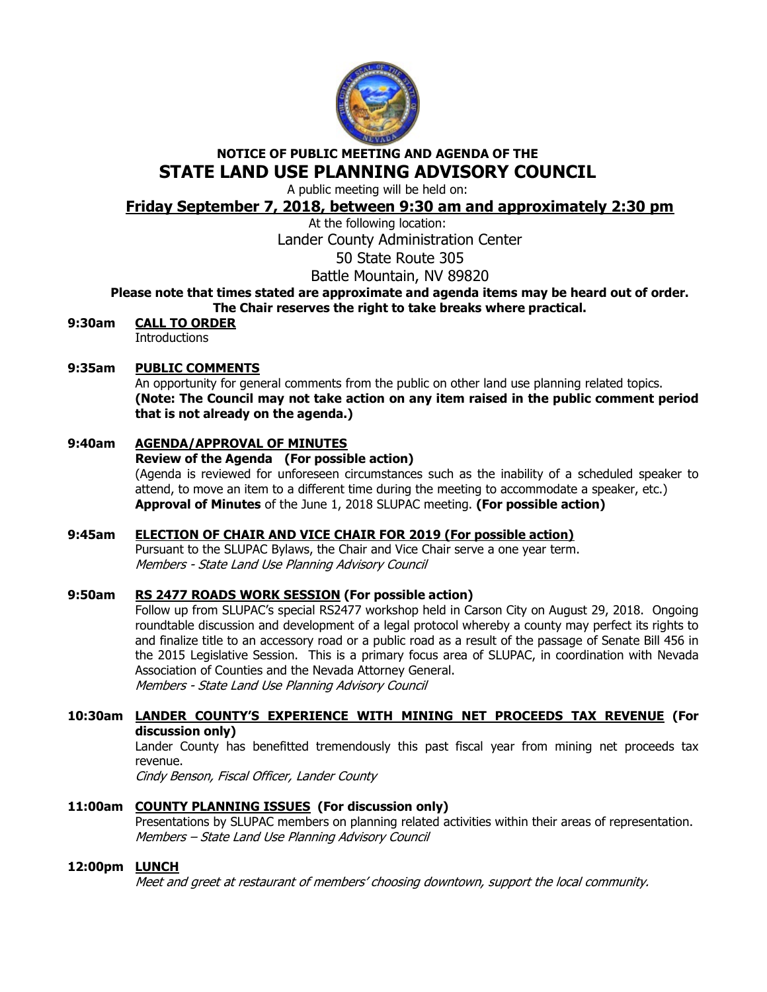

## NOTICE OF PUBLIC MEETING AND AGENDA OF THE STATE LAND USE PLANNING ADVISORY COUNCIL

A public meeting will be held on:

## Friday September 7, 2018, between 9:30 am and approximately 2:30 pm

At the following location:

Lander County Administration Center

50 State Route 305

Battle Mountain, NV 89820

# Please note that times stated are approximate and agenda items may be heard out of order.

The Chair reserves the right to take breaks where practical.

9:30am CALL TO ORDER **Introductions** 

## 9:35am PUBLIC COMMENTS

An opportunity for general comments from the public on other land use planning related topics. (Note: The Council may not take action on any item raised in the public comment period that is not already on the agenda.)

## 9:40am AGENDA/APPROVAL OF MINUTES

## Review of the Agenda (For possible action)

(Agenda is reviewed for unforeseen circumstances such as the inability of a scheduled speaker to attend, to move an item to a different time during the meeting to accommodate a speaker, etc.) Approval of Minutes of the June 1, 2018 SLUPAC meeting. (For possible action)

## 9:45am ELECTION OF CHAIR AND VICE CHAIR FOR 2019 (For possible action)

Pursuant to the SLUPAC Bylaws, the Chair and Vice Chair serve a one year term. Members - State Land Use Planning Advisory Council

## 9:50am RS 2477 ROADS WORK SESSION (For possible action)

 Follow up from SLUPAC's special RS2477 workshop held in Carson City on August 29, 2018. Ongoing roundtable discussion and development of a legal protocol whereby a county may perfect its rights to and finalize title to an accessory road or a public road as a result of the passage of Senate Bill 456 in the 2015 Legislative Session. This is a primary focus area of SLUPAC, in coordination with Nevada Association of Counties and the Nevada Attorney General. Members - State Land Use Planning Advisory Council

## 10:30am LANDER COUNTY'S EXPERIENCE WITH MINING NET PROCEEDS TAX REVENUE (For discussion only)

Lander County has benefitted tremendously this past fiscal year from mining net proceeds tax revenue.

Cindy Benson, Fiscal Officer, Lander County

## 11:00am COUNTY PLANNING ISSUES (For discussion only)

Presentations by SLUPAC members on planning related activities within their areas of representation. Members – State Land Use Planning Advisory Council

## 12:00pm **LUNCH**

Meet and greet at restaurant of members' choosing downtown, support the local community.